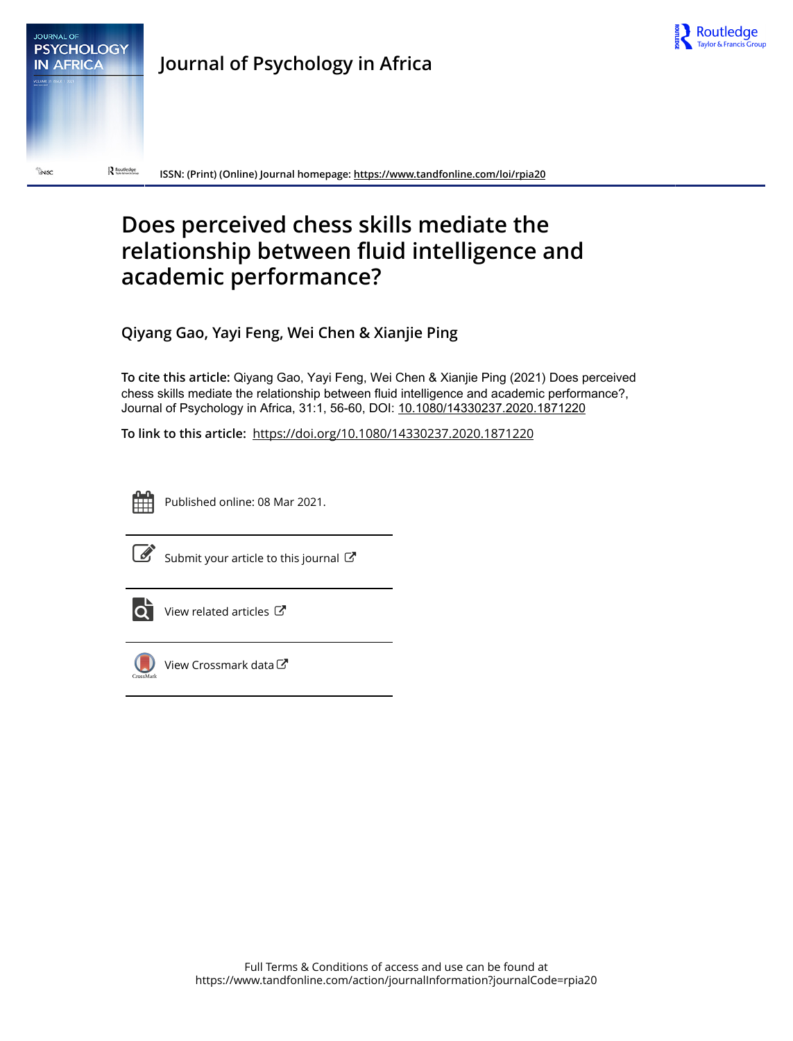



**Journal of Psychology in Africa**

**ISSN: (Print) (Online) Journal homepage:<https://www.tandfonline.com/loi/rpia20>**

# **Does perceived chess skills mediate the relationship between fluid intelligence and academic performance?**

**Qiyang Gao, Yayi Feng, Wei Chen & Xianjie Ping**

**To cite this article:** Qiyang Gao, Yayi Feng, Wei Chen & Xianjie Ping (2021) Does perceived chess skills mediate the relationship between fluid intelligence and academic performance?, Journal of Psychology in Africa, 31:1, 56-60, DOI: [10.1080/14330237.2020.1871220](https://www.tandfonline.com/action/showCitFormats?doi=10.1080/14330237.2020.1871220)

**To link to this article:** <https://doi.org/10.1080/14330237.2020.1871220>



Published online: 08 Mar 2021.



 $\overrightarrow{S}$  [Submit your article to this journal](https://www.tandfonline.com/action/authorSubmission?journalCode=rpia20&show=instructions)  $\overrightarrow{S}$ 



 $\overline{\text{O}}$  [View related articles](https://www.tandfonline.com/doi/mlt/10.1080/14330237.2020.1871220)  $\mathbb{C}^{\bullet}$ 



[View Crossmark data](http://crossmark.crossref.org/dialog/?doi=10.1080/14330237.2020.1871220&domain=pdf&date_stamp=2021-03-08) $G$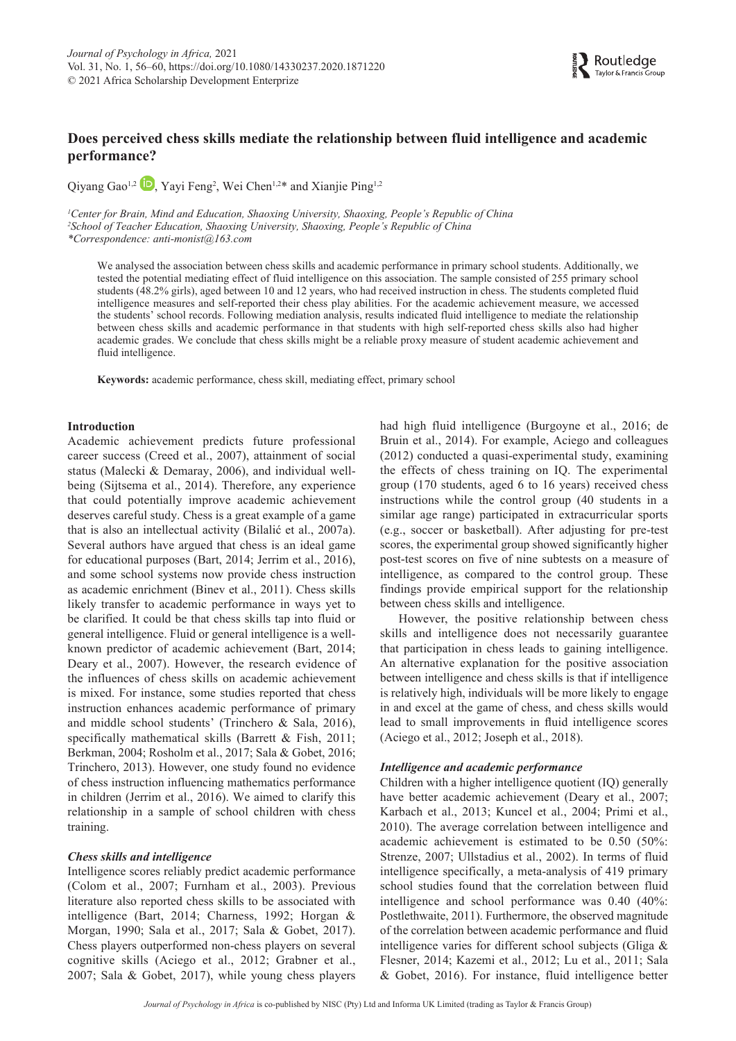# **Does perceived chess skills mediate the relationship between fluid intelligence and academic performance?**

Qiyang Gao<sup>1[,](http://orcid.org/0000-0001-5927-0361)2</sup> <sup>1</sup>, Yayi Feng<sup>2</sup>, Wei Chen<sup>1,2\*</sup> and Xianjie Ping<sup>1,2</sup>

*1 Center for Brain, Mind and Education, Shaoxing University, Shaoxing, People's Republic of China 2 School of Teacher Education, Shaoxing University, Shaoxing, People's Republic of China \*Correspondence: anti-monist@163.com*

We analysed the association between chess skills and academic performance in primary school students . Additionally, we tested the potential mediating effect of fluid intelligence on this association . The sample consisted of 255 primary school students (48.2% girls), aged between 10 and 12 years, who had received instruction in chess. The students completed fluid intelligence measures and self-reported their chess play abilities . For the academic achievement measure, we accessed the students' school records . Following mediation analysis, results indicated fluid intelligence to mediate the relationship between chess skills and academic performance in that students with high self-reported chess skills also had higher academic grades . We conclude that chess skills might be a reliable proxy measure of student academic achievement and fluid intelligence.

**Keywords:** academic performance, chess skill, mediating effect, primary school

#### **Introduction**

Academic achievement predicts future professional career success (Creed et al., 2007), attainment of social status (Malecki & Demaray, 2006), and individual wellbeing (Sijtsema et al., 2014). Therefore, any experience that could potentially improve academic achievement deserves careful study . Chess is a great example of a game that is also an intellectual activity (Bilalić et al., 2007a). Several authors have argued that chess is an ideal game for educational purposes (Bart, 2014; Jerrim et al., 2016), and some school systems now provide chess instruction as academic enrichment (Binev et al., 2011). Chess skills likely transfer to academic performance in ways yet to be clarified. It could be that chess skills tap into fluid or general intelligence . Fluid or general intelligence is a wellknown predictor of academic achievement (Bart, 2014; Deary et al., 2007). However, the research evidence of the influences of chess skills on academic achievement is mixed. For instance, some studies reported that chess instruction enhances academic performance of primary and middle school students' (Trinchero & Sala, 2016), specifically mathematical skills (Barrett & Fish, 2011; Berkman, 2004; Rosholm et al., 2017; Sala & Gobet, 2016; Trinchero, 2013) . However, one study found no evidence of chess instruction influencing mathematics performance in children (Jerrim et al., 2016). We aimed to clarify this relationship in a sample of school children with chess training .

# *Chess skills and intelligence*

Intelligence scores reliably predict academic performance (Colom et al.,  $2007$ ; Furnham et al.,  $2003$ ). Previous literature also reported chess skills to be associated with intelligence (Bart, 2014; Charness, 1992; Horgan & Morgan, 1990; Sala et al., 2017; Sala & Gobet, 2017). Chess players outperformed non-chess players on several cognitive skills (Aciego et al., 2012; Grabner et al., 2007; Sala & Gobet, 2017), while young chess players

had high fluid intelligence (Burgoyne et al., 2016; de Bruin et al., 2014). For example, Aciego and colleagues (2012) conducted a quasi-experimental study, examining the effects of chess training on IQ . The experimental group (170 students, aged 6 to 16 years) received chess instructions while the control group (40 students in a similar age range) participated in extracurricular sports (e .g ., soccer or basketball) . After adjusting for pre-test scores, the experimental group showed significantly higher post-test scores on five of nine subtests on a measure of intelligence, as compared to the control group. These findings provide empirical support for the relationship between chess skills and intelligence .

Routledge

However, the positive relationship between chess skills and intelligence does not necessarily guarantee that participation in chess leads to gaining intelligence . An alternative explanation for the positive association between intelligence and chess skills is that if intelligence is relatively high, individuals will be more likely to engage in and excel at the game of chess, and chess skills would lead to small improvements in fluid intelligence scores (Aciego et al., 2012; Joseph et al., 2018).

#### *Intelligence and academic performance*

Children with a higher intelligence quotient (IQ) generally have better academic achievement (Deary et al., 2007; Karbach et al., 2013; Kuncel et al., 2004; Primi et al., 2010) . The average correlation between intelligence and academic achievement is estimated to be  $0.50$  (50%: Strenze, 2007; Ullstadius et al., 2002). In terms of fluid intelligence specifically, a meta-analysis of 419 primary school studies found that the correlation between fluid intelligence and school performance was 0.40 (40%: Postlethwaite, 2011) . Furthermore, the observed magnitude of the correlation between academic performance and fluid intelligence varies for different school subjects (Gliga & Flesner, 2014; Kazemi et al., 2012; Lu et al., 2011; Sala & Gobet, 2016) . For instance, fluid intelligence better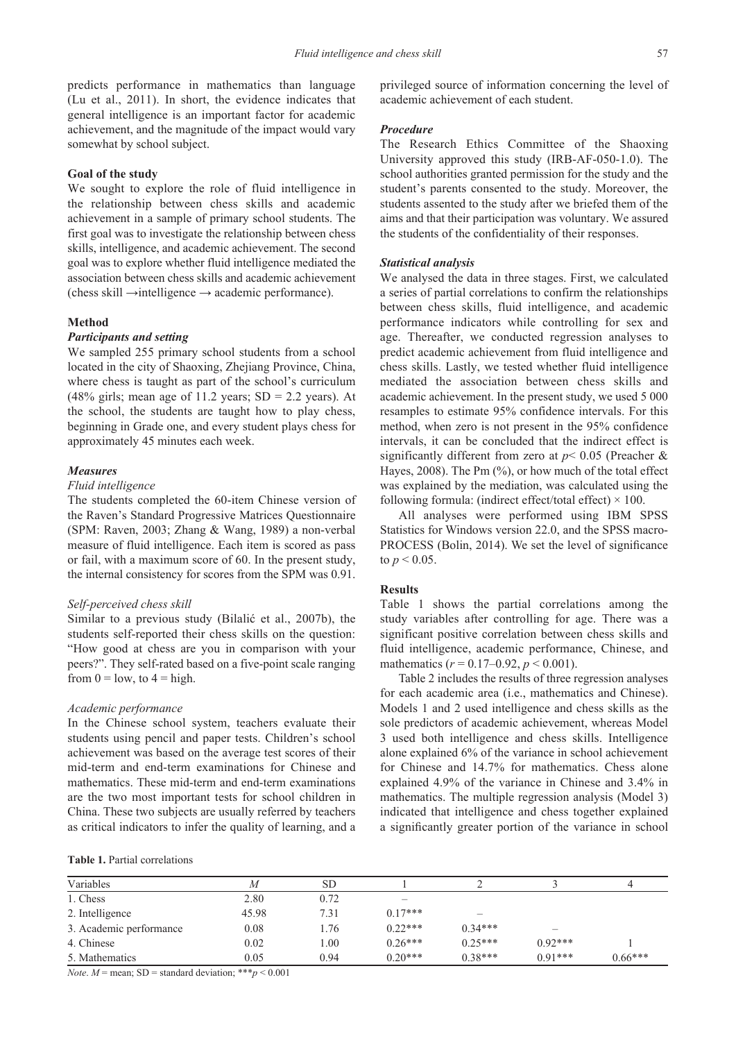predicts performance in mathematics than language (Lu et al.,  $2011$ ). In short, the evidence indicates that general intelligence is an important factor for academic achievement, and the magnitude of the impact would vary somewhat by school subject.

# **Goal of the study**

We sought to explore the role of fluid intelligence in the relationship between chess skills and academic achievement in a sample of primary school students. The first goal was to investigate the relationship between chess skills, intelligence, and academic achievement. The second goal was to explore whether fluid intelligence mediated the association between chess skills and academic achievement (chess skill  $\rightarrow$ intelligence  $\rightarrow$  academic performance).

#### **Method**

#### *Participants and setting*

We sampled 255 primary school students from a school located in the city of Shaoxing, Zhejiang Province, China, where chess is taught as part of the school's curriculum (48% girls; mean age of 11.2 years;  $SD = 2.2$  years). At the school, the students are taught how to play chess, beginning in Grade one, and every student plays chess for approximately 45 minutes each week .

#### *Measures*

#### *Fluid intelligence*

The students completed the 60-item Chinese version of the Raven's Standard Progressive Matrices Questionnaire (SPM: Raven, 2003; Zhang & Wang, 1989) a non-verbal measure of fluid intelligence . Each item is scored as pass or fail, with a maximum score of 60 . In the present study, the internal consistency for scores from the SPM was 0.91.

#### *Self-perceived chess skill*

Similar to a previous study (Bilalić et al., 2007b), the students self-reported their chess skills on the question: "How good at chess are you in comparison with your peers?". They self-rated based on a five-point scale ranging from  $0 = low$ , to  $4 = high$ .

#### *Academic performance*

In the Chinese school system, teachers evaluate their students using pencil and paper tests. Children's school achievement was based on the average test scores of their mid-term and end-term examinations for Chinese and mathematics. These mid-term and end-term examinations are the two most important tests for school children in China. These two subjects are usually referred by teachers as critical indicators to infer the quality of learning, and a

#### **Table 1.** Partial correlations

privileged source of information concerning the level of academic achievement of each student.

## *Procedure*

The Research Ethics Committee of the Shaoxing University approved this study (IRB-AF-050-1.0). The school authorities granted permission for the study and the student's parents consented to the study. Moreover, the students assented to the study after we briefed them of the aims and that their participation was voluntary. We assured the students of the confidentiality of their responses .

#### *Statistical analysis*

We analysed the data in three stages. First, we calculated a series of partial correlations to confirm the relationships between chess skills, fluid intelligence, and academic performance indicators while controlling for sex and age. Thereafter, we conducted regression analyses to predict academic achievement from fluid intelligence and chess skills. Lastly, we tested whether fluid intelligence mediated the association between chess skills and academic achievement. In the present study, we used 5 000 resamples to estimate 95% confidence intervals . For this method, when zero is not present in the 95% confidence intervals, it can be concluded that the indirect effect is significantly different from zero at  $p < 0.05$  (Preacher & Hayes,  $2008$ ). The Pm  $(%$ ), or how much of the total effect was explained by the mediation, was calculated using the following formula: (indirect effect/total effect)  $\times$  100.

All analyses were performed using IBM SPSS Statistics for Windows version 22 .0, and the SPSS macro-PROCESS (Bolin, 2014). We set the level of significance to  $p < 0.05$ .

#### **Results**

Table 1 shows the partial correlations among the study variables after controlling for age. There was a significant positive correlation between chess skills and fluid intelligence, academic performance, Chinese, and mathematics  $(r = 0.17{\text -}0.92, p \le 0.001)$ .

Table 2 includes the results of three regression analyses for each academic area (i.e., mathematics and Chinese). Models 1 and 2 used intelligence and chess skills as the sole predictors of academic achievement, whereas Model 3 used both intelligence and chess skills. Intelligence alone explained 6% of the variance in school achievement for Chinese and 14.7% for mathematics Chess alone explained 4 .9% of the variance in Chinese and 3 .4% in mathematics. The multiple regression analysis (Model 3) indicated that intelligence and chess together explained a significantly greater portion of the variance in school

| Variables               | M     | <b>SD</b> |           |           |           |           |
|-------------------------|-------|-----------|-----------|-----------|-----------|-----------|
| 1. Chess                | 2.80  | 0.72      |           |           |           |           |
| 2. Intelligence         | 45.98 | 7.31      | $0.17***$ |           |           |           |
| 3. Academic performance | 0.08  | 1.76      | $0.22***$ | $0.34***$ |           |           |
| 4. Chinese              | 0.02  | 1.00      | $0.26***$ | $0.25***$ | $0.92***$ |           |
| 5. Mathematics          | 0.05  | 0.94      | $0.20***$ | $0.38***$ | $0.91***$ | $0.66***$ |

*Note*.  $M$  = mean; SD = standard deviation; \*\*\**p* < 0.001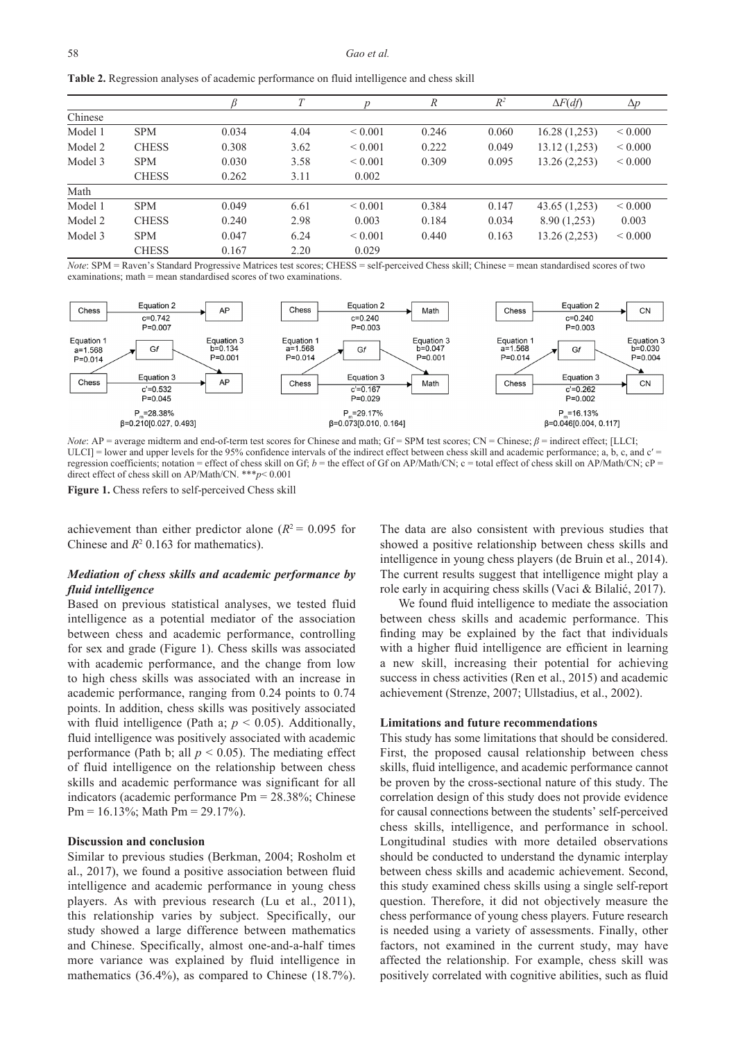|  |  | Table 2. Regression analyses of academic performance on fluid intelligence and chess skill |  |
|--|--|--------------------------------------------------------------------------------------------|--|
|  |  |                                                                                            |  |
|  |  |                                                                                            |  |

|         |              |       |      |              | $\mathcal{R}$ | $R^2$ | $\Delta F(df)$ | $\Delta p$   |
|---------|--------------|-------|------|--------------|---------------|-------|----------------|--------------|
| Chinese |              |       |      |              |               |       |                |              |
| Model 1 | <b>SPM</b>   | 0.034 | 4.04 | ${}_{0.001}$ | 0.246         | 0.060 | 16.28(1,253)   | ${}_{0.000}$ |
| Model 2 | <b>CHESS</b> | 0.308 | 3.62 | ${}_{0.001}$ | 0.222         | 0.049 | 13.12(1,253)   | ${}_{0.000}$ |
| Model 3 | <b>SPM</b>   | 0.030 | 3.58 | ${}_{0.001}$ | 0.309         | 0.095 | 13.26(2,253)   | ${}_{0.000}$ |
|         | <b>CHESS</b> | 0.262 | 3.11 | 0.002        |               |       |                |              |
| Math    |              |       |      |              |               |       |                |              |
| Model 1 | <b>SPM</b>   | 0.049 | 6.61 | ${}_{0.001}$ | 0.384         | 0.147 | 43.65(1,253)   | ${}_{0.000}$ |
| Model 2 | <b>CHESS</b> | 0.240 | 2.98 | 0.003        | 0.184         | 0.034 | 8.90(1,253)    | 0.003        |
| Model 3 | <b>SPM</b>   | 0.047 | 6.24 | ${}_{0.001}$ | 0.440         | 0.163 | 13.26(2,253)   | ${}_{0.000}$ |
|         | <b>CHESS</b> | 0.167 | 2.20 | 0.029        |               |       |                |              |

*Note*: SPM = Raven's Standard Progressive Matrices test scores; CHESS = self-perceived Chess skill; Chinese = mean standardised scores of two examinations; math = mean standardised scores of two examinations



*Note*: AP = average midterm and end-of-term test scores for Chinese and math; Gf = SPM test scores; CN = Chinese;  $β$  = indirect effect; [LLCI;  $ULCI$ ] = lower and upper levels for the 95% confidence intervals of the indirect effect between chess skill and academic performance; a, b, c, and  $c'$  = regression coefficients; notation = effect of chess skill on Gf; *b* = the effect of Gf on AP/Math/CN; c = total effect of chess skill on AP/Math/CN; cP = direct effect of chess skill on AP/Math/CN. \*\*\**p*<0.001

**Figure 1.** Chess refers to self-perceived Chess skill

achievement than either predictor alone ( $R^2$  = 0.095 for Chinese and  $R^2$  0.163 for mathematics).

# *Mediation of chess skills and academic performance by fluid intelligence*

Based on previous statistical analyses, we tested fluid intelligence as a potential mediator of the association between chess and academic performance, controlling for sex and grade (Figure 1) . Chess skills was associated with academic performance, and the change from low to high chess skills was associated with an increase in academic performance, ranging from 0.24 points to 0.74 points . In addition, chess skills was positively associated with fluid intelligence (Path a;  $p < 0.05$ ). Additionally, fluid intelligence was positively associated with academic performance (Path b; all  $p < 0.05$ ). The mediating effect of fluid intelligence on the relationship between chess skills and academic performance was significant for all indicators (academic performance Pm = 28 .38%; Chinese  $Pm = 16.13\%$ ; Math  $Pm = 29.17\%$ ).

#### **Discussion and conclusion**

Similar to previous studies (Berkman, 2004; Rosholm et al., 2017), we found a positive association between fluid intelligence and academic performance in young chess players. As with previous research (Lu et al., 2011), this relationship varies by subject . Specifically, our study showed a large difference between mathematics and Chinese. Specifically, almost one-and-a-half times more variance was explained by fluid intelligence in mathematics  $(36.4\%)$ , as compared to Chinese  $(18.7\%)$ . The data are also consistent with previous studies that showed a positive relationship between chess skills and intelligence in young chess players (de Bruin et al., 2014). The current results suggest that intelligence might play a role early in acquiring chess skills (Vaci & Bilalić, 2017).

We found fluid intelligence to mediate the association between chess skills and academic performance. This finding may be explained by the fact that individuals with a higher fluid intelligence are efficient in learning a new skill, increasing their potential for achieving success in chess activities (Ren et al., 2015) and academic achievement (Strenze, 2007; Ullstadius, et al., 2002).

## **Limitations and future recommendations**

This study has some limitations that should be considered. First, the proposed causal relationship between chess skills, fluid intelligence, and academic performance cannot be proven by the cross-sectional nature of this study. The correlation design of this study does not provide evidence for causal connections between the students' self-perceived chess skills, intelligence, and performance in school. Longitudinal studies with more detailed observations should be conducted to understand the dynamic interplay between chess skills and academic achievement. Second, this study examined chess skills using a single self-report question. Therefore, it did not objectively measure the chess performance of young chess players . Future research is needed using a variety of assessments . Finally, other factors, not examined in the current study, may have affected the relationship. For example, chess skill was positively correlated with cognitive abilities, such as fluid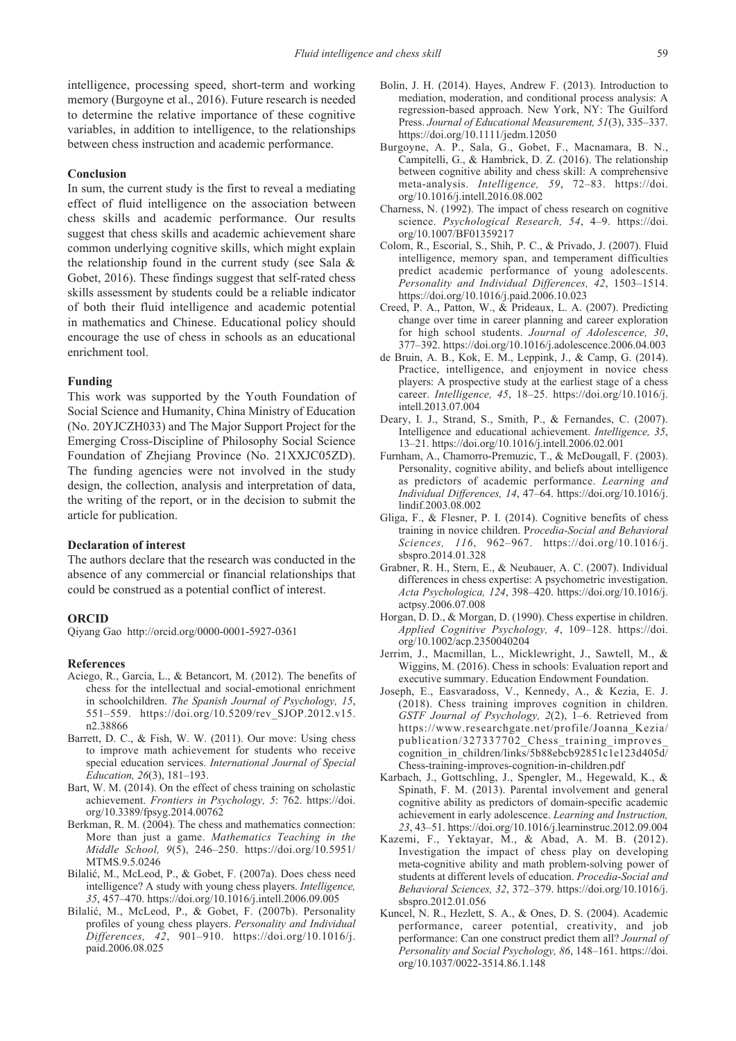intelligence, processing speed, short-term and working memory (Burgoyne et al., 2016). Future research is needed to determine the relative importance of these cognitive variables, in addition to intelligence, to the relationships between chess instruction and academic performance .

#### **Conclusion**

In sum, the current study is the first to reveal a mediating effect of fluid intelligence on the association between chess skills and academic performance . Our results suggest that chess skills and academic achievement share common underlying cognitive skills, which might explain the relationship found in the current study (see Sala & Gobet, 2016). These findings suggest that self-rated chess skills assessment by students could be a reliable indicator of both their fluid intelligence and academic potential in mathematics and Chinese. Educational policy should encourage the use of chess in schools as an educational enrichment tool.

#### **Funding**

This work was supported by the Youth Foundation of Social Science and Humanity, China Ministry of Education (No . 20YJCZH033) and The Major Support Project for the Emerging Cross-Discipline of Philosophy Social Science Foundation of Zhejiang Province (No. 21XXJC05ZD). The funding agencies were not involved in the study design, the collection, analysis and interpretation of data, the writing of the report, or in the decision to submit the article for publication.

#### **Declaration of interest**

The authors declare that the research was conducted in the absence of any commercial or financial relationships that could be construed as a potential conflict of interest.

#### **ORCID**

Qiyang Gao [http://orcid .org/0](http://orcid.org/0000-0001-5927-0361)000-0001-5927-0361

#### **References**

- Aciego, R., García, L., & Betancort, M. (2012). The benefits of chess for the intellectual and social-emotional enrichment in schoolchildren. *The Spanish Journal of Psychology, 15,* 551–559 . https://doi .org/10 .5209/rev\_SJOP .2012 .v15 . n2 .38866
- Barrett, D. C., & Fish, W. W.  $(2011)$ . Our move: Using chess to improve math achievement for students who receive special education services . *International Journal of Special Education, 26*(3), 181–193 .
- Bart, W. M. (2014). On the effect of chess training on scholastic achievement. *Frontiers in Psychology*, 5: 762. https://doi. org/10 .3389/fpsyg .2014 .00762
- Berkman, R. M. (2004). The chess and mathematics connection: More than just a game . *Mathematics Teaching in the Middle School, 9*(5), 246–250 . https://doi .org/10 .5951/ MTMS .9 .5 .0246
- Bilalić, M., McLeod, P., & Gobet, F. (2007a). Does chess need intelligence? A study with young chess players . *Intelligence, 35*, 457–470 . https://doi .org/10 .1016/j .intell .2006 .09 .005
- Bilalić, M., McLeod, P., & Gobet, F. (2007b). Personality profiles of young chess players . *Personality and Individual Differences, 42, 901-910. https://doi.org/10.1016/j.* paid .2006 .08 .025
- Bolin, J. H. (2014). Hayes, Andrew F. (2013). Introduction to mediation, moderation, and conditional process analysis: A regression-based approach . New York, NY: The Guilford Press . *Journal of Educational Measurement, 51*(3), 335–337 . https://doi .org/10 .1111/jedm .12050
- Burgoyne, A. P., Sala, G., Gobet, F., Macnamara, B. N., Campitelli, G., & Hambrick, D. Z. (2016). The relationship between cognitive ability and chess skill: A comprehensive meta-analysis . *Intelligence, 59*, 72–83 . https://doi . org/10 .1016/j .intell .2016 .08 .002
- Charness, N. (1992). The impact of chess research on cognitive science. Psychological Research, 54, 4-9. https://doi. org/10 .1007/BF01359217
- Colom, R., Escorial, S., Shih, P. C., & Privado, J. (2007). Fluid intelligence, memory span, and temperament difficulties predict academic performance of young adolescents. *Personality and Individual Differences, 42*, 1503–1514 . https://doi.org/10.1016/j.paid.2006.10.023
- Creed, P. A., Patton, W., & Prideaux, L. A. (2007). Predicting change over time in career planning and career exploration for high school students. *Journal of Adolescence*, 30, 377–392 . https://doi .org/10 .1016/j .adolescence .2006 .04 .003
- de Bruin, A. B., Kok, E. M., Leppink, J., & Camp, G. (2014). Practice, intelligence, and enjoyment in novice chess players: A prospective study at the earliest stage of a chess career. *Intelligence*, 45, 18-25. https://doi.org/10.1016/j. intell .2013 .07 .004
- Deary, I. J., Strand, S., Smith, P., & Fernandes, C. (2007). Intelligence and educational achievement. *Intelligence*, 35, 13–21 . https://doi .org/10 .1016/j .intell .2006 .02 .001
- Furnham, A., Chamorro-Premuzic, T., & McDougall, F. (2003). Personality, cognitive ability, and beliefs about intelligence as predictors of academic performance . *Learning and Individual Differences, 14*, 47–64 . https://doi .org/10 .1016/j . lindif .2003 .08 .002
- Gliga, F., & Flesner, P. I. (2014). Cognitive benefits of chess training in novice children . P*rocedia-Social and Behavioral Sciences, 116, 962–967.* https://doi.org/10.1016/j. sbspro .2014 .01 .328
- Grabner, R. H., Stern, E., & Neubauer, A. C. (2007). Individual differences in chess expertise: A psychometric investigation. *Acta Psychologica, 124*, 398–420 . https://doi .org/10 .1016/j . actpsy .2006 .07 .008
- Horgan, D. D., & Morgan, D. (1990). Chess expertise in children. *Applied Cognitive Psychology, 4*, 109–128 . https://doi . org/10 .1002/acp .2350040204
- Jerrim, J., Macmillan, L., Micklewright, J., Sawtell, M., & Wiggins, M. (2016). Chess in schools: Evaluation report and executive summary. Education Endowment Foundation.
- Joseph, E., Easvaradoss, V., Kennedy, A., & Kezia, E. J. (2018). Chess training improves cognition in children. *GSTF Journal of Psychology, 2*(2), 1–6 . Retrieved from https://www .researchgate .net/profile/Joanna\_Kezia/ publication/327337702 Chess training improves cognition in children/links/5b88ebcb92851c1e123d405d/ Chess-training-improves-cognition-in-children .pdf
- Karbach, J., Gottschling, J., Spengler, M., Hegewald, K., & Spinath, F. M. (2013). Parental involvement and general cognitive ability as predictors of domain-specific academic achievement in early adolescence . *Learning and Instruction, 23*, 43–51 . https://doi .org/10 .1016/j .learninstruc .2012 .09 .004
- Kazemi, F., Yektayar, M., & Abad, A. M. B. (2012). Investigation the impact of chess play on developing meta-cognitive ability and math problem-solving power of students at different levels of education . *Procedia-Social and Behavioral Sciences, 32*, 372–379 . https://doi .org/10 .1016/j . sbspro .2012 .01 .056
- Kuncel, N. R., Hezlett, S. A., & Ones, D. S. (2004). Academic performance, career potential, creativity, and job performance: Can one construct predict them all? *Journal of Personality and Social Psychology, 86*, 148–161 . https://doi . org/10 .1037/0022-3514 .86 .1 .148